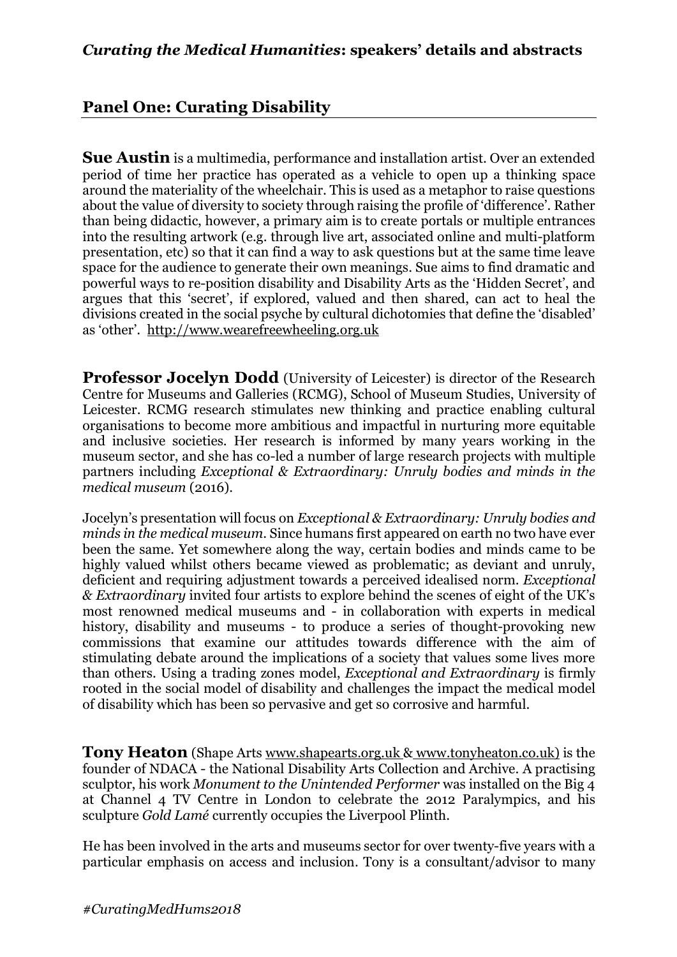## **Panel One: Curating Disability**

**Sue Austin** is a multimedia, performance and installation artist. Over an extended period of time her practice has operated as a vehicle to open up a thinking space around the materiality of the wheelchair. This is used as a metaphor to raise questions about the value of diversity to society through raising the profile of 'difference'. Rather than being didactic, however, a primary aim is to create portals or multiple entrances into the resulting artwork (e.g. through live art, associated online and multi-platform presentation, etc) so that it can find a way to ask questions but at the same time leave space for the audience to generate their own meanings. Sue aims to find dramatic and powerful ways to re-position disability and Disability Arts as the 'Hidden Secret', and argues that this 'secret', if explored, valued and then shared, can act to heal the divisions created in the social psyche by cultural dichotomies that define the 'disabled' as 'other'. http://www.wearefreewheeling.org.uk

**Professor Jocelyn Dodd** (University of Leicester) is director of the Research Centre for Museums and Galleries (RCMG), School of Museum Studies, University of Leicester. RCMG research stimulates new thinking and practice enabling cultural organisations to become more ambitious and impactful in nurturing more equitable and inclusive societies. Her research is informed by many years working in the museum sector, and she has co-led a number of large research projects with multiple partners including *Exceptional & Extraordinary: Unruly bodies and minds in the medical museum* (2016).

Jocelyn's presentation will focus on *Exceptional & Extraordinary: Unruly bodies and minds in the medical museum*. Since humans first appeared on earth no two have ever been the same. Yet somewhere along the way, certain bodies and minds came to be highly valued whilst others became viewed as problematic; as deviant and unruly, deficient and requiring adjustment towards a perceived idealised norm. *Exceptional & Extraordinary* invited four artists to explore behind the scenes of eight of the UK's most renowned medical museums and - in collaboration with experts in medical history, disability and museums - to produce a series of thought-provoking new commissions that examine our attitudes towards difference with the aim of stimulating debate around the implications of a society that values some lives more than others. Using a trading zones model, *Exceptional and Extraordinary* is firmly rooted in the social model of disability and challenges the impact the medical model of disability which has been so pervasive and get so corrosive and harmful.

**Tony Heaton** (Shape Arts www.shapearts.org.uk & www.tonyheaton.co.uk) is the founder of NDACA - the National Disability Arts Collection and Archive. A practising sculptor, his work *Monument to the Unintended Performer* was installed on the Big 4 at Channel 4 TV Centre in London to celebrate the 2012 Paralympics, and his sculpture *Gold Lamé* currently occupies the Liverpool Plinth.

He has been involved in the arts and museums sector for over twenty-five years with a particular emphasis on access and inclusion. Tony is a consultant/advisor to many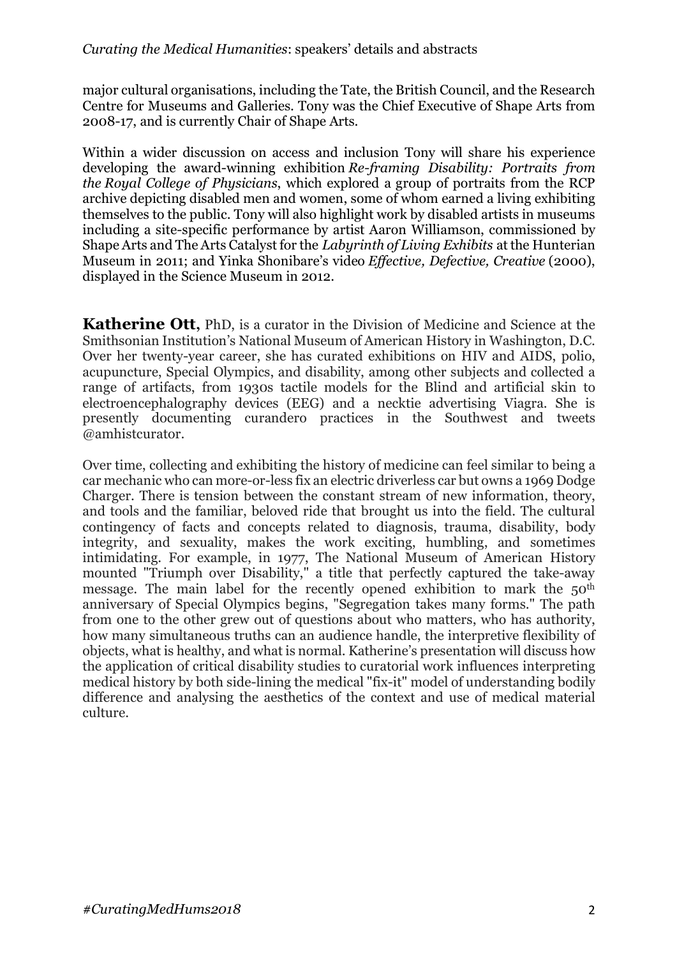major cultural organisations, including the Tate, the British Council, and the Research Centre for Museums and Galleries. Tony was the Chief Executive of Shape Arts from 2008-17, and is currently Chair of Shape Arts.

Within a wider discussion on access and inclusion Tony will share his experience developing the award-winning exhibition *Re-framing Disability: Portraits from the Royal College of Physicians*, which explored a group of portraits from the RCP archive depicting disabled men and women, some of whom earned a living exhibiting themselves to the public. Tony will also highlight work by disabled artists in museums including a site-specific performance by artist Aaron Williamson, commissioned by Shape Arts and The Arts Catalyst for the *Labyrinth of Living Exhibits* at the Hunterian Museum in 2011; and Yinka Shonibare's video *Effective, Defective, Creative* (2000), displayed in the Science Museum in 2012.

**Katherine Ott,** PhD, is a curator in the Division of Medicine and Science at the Smithsonian Institution's National Museum of American History in Washington, D.C. Over her twenty-year career, she has curated exhibitions on HIV and AIDS, polio, acupuncture, Special Olympics, and disability, among other subjects and collected a range of artifacts, from 1930s tactile models for the Blind and artificial skin to electroencephalography devices (EEG) and a necktie advertising Viagra. She is presently documenting curandero practices in the Southwest and tweets @amhistcurator.

Over time, collecting and exhibiting the history of medicine can feel similar to being a car mechanic who can more-or-less fix an electric driverless car but owns a 1969 Dodge Charger. There is tension between the constant stream of new information, theory, and tools and the familiar, beloved ride that brought us into the field. The cultural contingency of facts and concepts related to diagnosis, trauma, disability, body integrity, and sexuality, makes the work exciting, humbling, and sometimes intimidating. For example, in 1977, The National Museum of American History mounted "Triumph over Disability," a title that perfectly captured the take-away message. The main label for the recently opened exhibition to mark the 50<sup>th</sup> anniversary of Special Olympics begins, "Segregation takes many forms." The path from one to the other grew out of questions about who matters, who has authority, how many simultaneous truths can an audience handle, the interpretive flexibility of objects, what is healthy, and what is normal. Katherine's presentation will discuss how the application of critical disability studies to curatorial work influences interpreting medical history by both side-lining the medical "fix-it" model of understanding bodily difference and analysing the aesthetics of the context and use of medical material culture.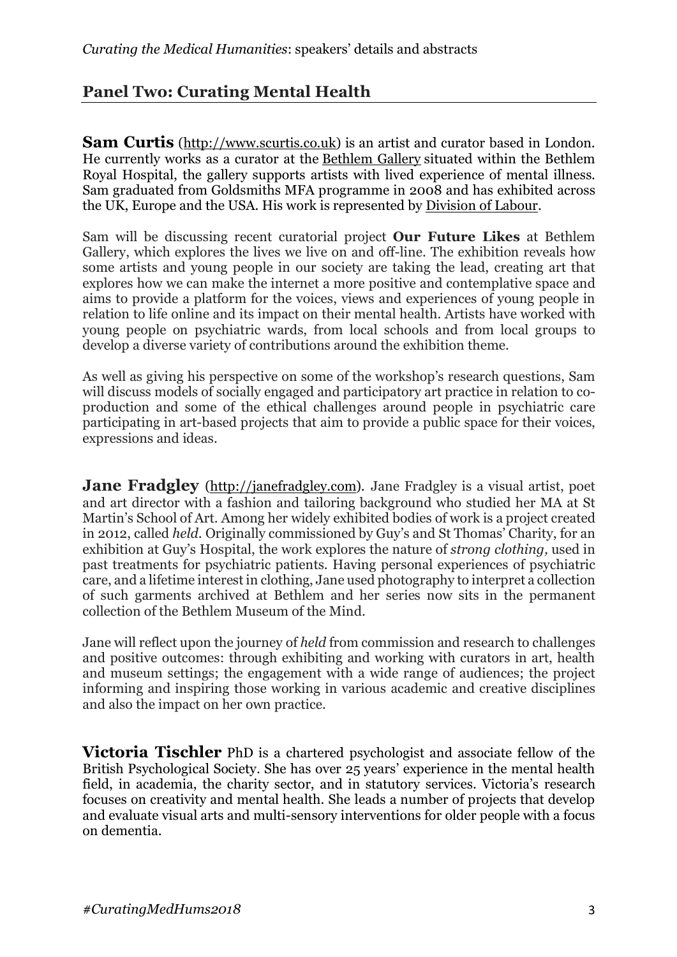## **Panel Two: Curating Mental Health**

**Sam Curtis** (http://www.scurtis.co.uk) is an artist and curator based in London. He currently works as a curator at the Bethlem Gallery situated within the Bethlem Royal Hospital, the gallery supports artists with lived experience of mental illness. Sam graduated from Goldsmiths MFA programme in 2008 and has exhibited across the UK, Europe and the USA. His work is represented by Division of Labour.

Sam will be discussing recent curatorial project **Our Future Likes** at Bethlem Gallery, which explores the lives we live on and off-line. The exhibition reveals how some artists and young people in our society are taking the lead, creating art that explores how we can make the internet a more positive and contemplative space and aims to provide a platform for the voices, views and experiences of young people in relation to life online and its impact on their mental health. Artists have worked with young people on psychiatric wards, from local schools and from local groups to develop a diverse variety of contributions around the exhibition theme.

As well as giving his perspective on some of the workshop's research questions, Sam will discuss models of socially engaged and participatory art practice in relation to coproduction and some of the ethical challenges around people in psychiatric care participating in art-based projects that aim to provide a public space for their voices, expressions and ideas.

**Jane Fradgley** (http://janefradgley.com). Jane Fradgley is a visual artist, poet and art director with a fashion and tailoring background who studied her MA at St Martin's School of Art. Among her widely exhibited bodies of work is a project created in 2012, called *held.* Originally commissioned by Guy's and St Thomas' Charity, for an exhibition at Guy's Hospital, the work explores the nature of *strong clothing,* used in past treatments for psychiatric patients. Having personal experiences of psychiatric care, and a lifetime interest in clothing, Jane used photography to interpret a collection of such garments archived at Bethlem and her series now sits in the permanent collection of the Bethlem Museum of the Mind.

Jane will reflect upon the journey of *held* from commission and research to challenges and positive outcomes: through exhibiting and working with curators in art, health and museum settings; the engagement with a wide range of audiences; the project informing and inspiring those working in various academic and creative disciplines and also the impact on her own practice.

**Victoria Tischler** PhD is a chartered psychologist and associate fellow of the British Psychological Society. She has over 25 years' experience in the mental health field, in academia, the charity sector, and in statutory services. Victoria's research focuses on creativity and mental health. She leads a number of projects that develop and evaluate visual arts and multi-sensory interventions for older people with a focus on dementia.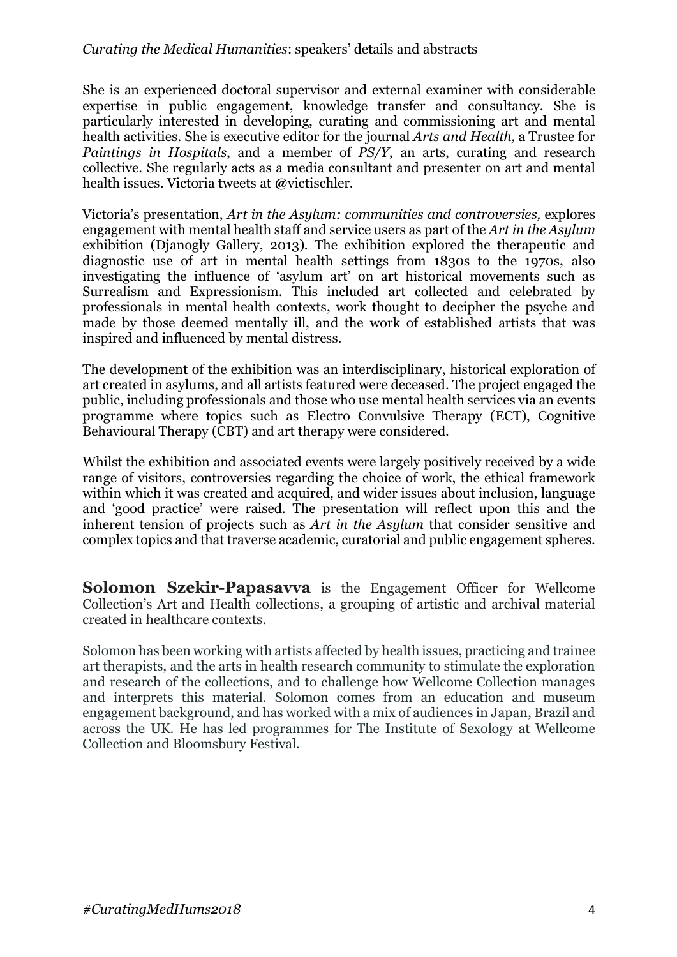## *Curating the Medical Humanities*: speakers' details and abstracts

She is an experienced doctoral supervisor and external examiner with considerable expertise in public engagement, knowledge transfer and consultancy. She is particularly interested in developing, curating and commissioning art and mental health activities. She is executive editor for the journal *Arts and Health,* a Trustee for *Paintings in Hospitals*, and a member of *PS/Y*, an arts, curating and research collective. She regularly acts as a media consultant and presenter on art and mental health issues. Victoria tweets at **@**victischler.

Victoria's presentation, *Art in the Asylum: communities and controversies,* explores engagement with mental health staff and service users as part of the *Art in the Asylum* exhibition (Djanogly Gallery, 2013). The exhibition explored the therapeutic and diagnostic use of art in mental health settings from 1830s to the 1970s, also investigating the influence of 'asylum art' on art historical movements such as Surrealism and Expressionism. This included art collected and celebrated by professionals in mental health contexts, work thought to decipher the psyche and made by those deemed mentally ill, and the work of established artists that was inspired and influenced by mental distress.

The development of the exhibition was an interdisciplinary, historical exploration of art created in asylums, and all artists featured were deceased. The project engaged the public, including professionals and those who use mental health services via an events programme where topics such as Electro Convulsive Therapy (ECT), Cognitive Behavioural Therapy (CBT) and art therapy were considered.

Whilst the exhibition and associated events were largely positively received by a wide range of visitors, controversies regarding the choice of work, the ethical framework within which it was created and acquired, and wider issues about inclusion, language and 'good practice' were raised. The presentation will reflect upon this and the inherent tension of projects such as *Art in the Asylum* that consider sensitive and complex topics and that traverse academic, curatorial and public engagement spheres.

**Solomon Szekir-Papasavva** is the Engagement Officer for Wellcome Collection's Art and Health collections, a grouping of artistic and archival material created in healthcare contexts.

Solomon has been working with artists affected by health issues, practicing and trainee art therapists, and the arts in health research community to stimulate the exploration and research of the collections, and to challenge how Wellcome Collection manages and interprets this material. Solomon comes from an education and museum engagement background, and has worked with a mix of audiences in Japan, Brazil and across the UK. He has led programmes for The Institute of Sexology at Wellcome Collection and Bloomsbury Festival.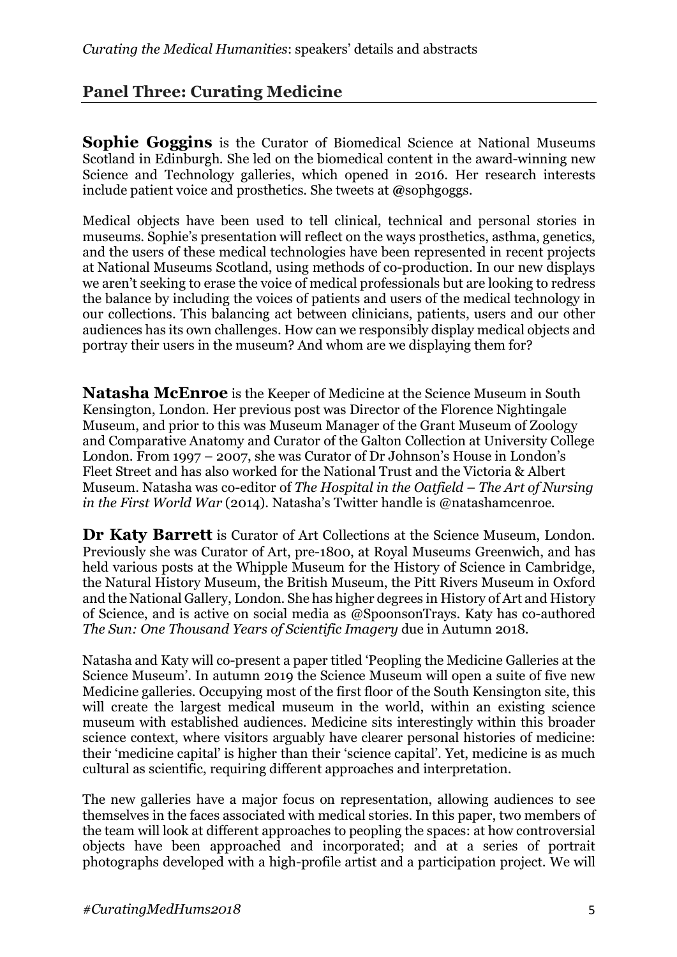## **Panel Three: Curating Medicine**

**Sophie Goggins** is the Curator of Biomedical Science at National Museums Scotland in Edinburgh. She led on the biomedical content in the award-winning new Science and Technology galleries, which opened in 2016. Her research interests include patient voice and prosthetics. She tweets at **@**sophgoggs.

Medical objects have been used to tell clinical, technical and personal stories in museums. Sophie's presentation will reflect on the ways prosthetics, asthma, genetics, and the users of these medical technologies have been represented in recent projects at National Museums Scotland, using methods of co-production. In our new displays we aren't seeking to erase the voice of medical professionals but are looking to redress the balance by including the voices of patients and users of the medical technology in our collections. This balancing act between clinicians, patients, users and our other audiences has its own challenges. How can we responsibly display medical objects and portray their users in the museum? And whom are we displaying them for?

**Natasha McEnroe** is the Keeper of Medicine at the Science Museum in South Kensington, London. Her previous post was Director of the Florence Nightingale Museum, and prior to this was Museum Manager of the Grant Museum of Zoology and Comparative Anatomy and Curator of the Galton Collection at University College London. From 1997 – 2007, she was Curator of Dr Johnson's House in London's Fleet Street and has also worked for the National Trust and the Victoria & Albert Museum. Natasha was co-editor of *The Hospital in the Oatfield – The Art of Nursing in the First World War* (2014). Natasha's Twitter handle is @natashamcenroe.

**Dr Katy Barrett** is Curator of Art Collections at the Science Museum, London. Previously she was Curator of Art, pre-1800, at Royal Museums Greenwich, and has held various posts at the Whipple Museum for the History of Science in Cambridge, the Natural History Museum, the British Museum, the Pitt Rivers Museum in Oxford and the National Gallery, London. She has higher degrees in History of Art and History of Science, and is active on social media as @SpoonsonTrays. Katy has co-authored *The Sun: One Thousand Years of Scientific Imagery* due in Autumn 2018.

Natasha and Katy will co-present a paper titled 'Peopling the Medicine Galleries at the Science Museum'. In autumn 2019 the Science Museum will open a suite of five new Medicine galleries. Occupying most of the first floor of the South Kensington site, this will create the largest medical museum in the world, within an existing science museum with established audiences. Medicine sits interestingly within this broader science context, where visitors arguably have clearer personal histories of medicine: their 'medicine capital' is higher than their 'science capital'. Yet, medicine is as much cultural as scientific, requiring different approaches and interpretation.

The new galleries have a major focus on representation, allowing audiences to see themselves in the faces associated with medical stories. In this paper, two members of the team will look at different approaches to peopling the spaces: at how controversial objects have been approached and incorporated; and at a series of portrait photographs developed with a high-profile artist and a participation project. We will